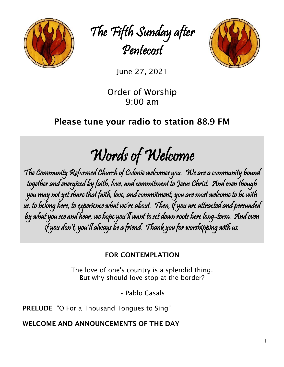

The Fifth Sunday after Pentecost



June 27, 2021

Order of Worship 9:00 am

# Please tune your radio to station 88.9 FM

Words of Welcome

The Community Reformed Church of Colonie welcomes you. We are a community bound together and energized by faith, love, and commitment to Jesus Christ. And even though you may not yet share that faith, love, and commitment, you are most welcome to be with us, to belong here, to experience what we're about. Then, if you are attracted and persuaded by what you see and hear, we hope you'll want to set down roots here long-term. And even if you don't, you'll always be a friend. Thank you for worshipping with us.

## FOR CONTEMPLATION

The love of one's country is a splendid thing. But why should love stop at the border?

~ Pablo Casals

PRELUDE "O For a Thousand Tongues to Sing"

WELCOME AND ANNOUNCEMENTS OF THE DAY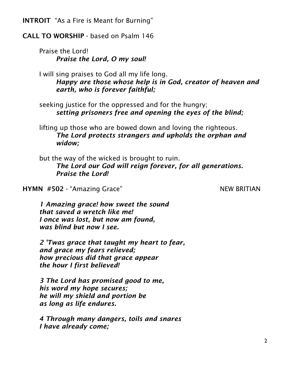INTROIT "As a Fire is Meant for Burning"

## CALL TO WORSHIP - based on Psalm 146

Praise the Lord! *Praise the Lord, O my soul!*

I will sing praises to God all my life long. *Happy are those whose help is in God, creator of heaven and earth, who is forever faithful;*

seeking justice for the oppressed and for the hungry; *setting prisoners free and opening the eyes of the blind;*

lifting up those who are bowed down and loving the righteous. *The Lord protects strangers and upholds the orphan and widow;*

but the way of the wicked is brought to ruin. *The Lord our God will reign forever, for all generations. Praise the Lord!*

HYMN #502 - "Amazing Grace" NEW BRITIAN

*1 Amazing grace! how sweet the sound that saved a wretch like me! I once was lost, but now am found, was blind but now I see.*

*2 'Twas grace that taught my heart to fear, and grace my fears relieved; how precious did that grace appear the hour I first believed!*

*3 The Lord has promised good to me, his word my hope secures; he will my shield and portion be as long as life endures.*

*4 Through many dangers, toils and snares I have already come;*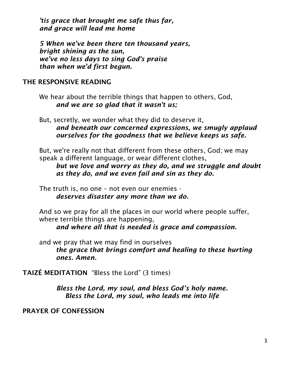*'tis grace that brought me safe thus far, and grace will lead me home*

*5 When we've been there ten thousand years, bright shining as the sun, we've no less days to sing God's praise than when we'd first begun.*

## THE RESPONSIVE READING

We hear about the terrible things that happen to others, God, *and we are so glad that it wasn't us;*

But, secretly, we wonder what they did to deserve it, *and beneath our concerned expressions, we smugly applaud ourselves for the goodness that we believe keeps us safe.*

But, we're really not that different from these others, God; we may speak a different language, or wear different clothes,

*but we love and worry as they do, and we struggle and doubt as they do, and we even fail and sin as they do.*

The truth is, no one – not even our enemies *deserves disaster any more than we do.*

And so we pray for all the places in our world where people suffer, where terrible things are happening,

*and where all that is needed is grace and compassion.*

and we pray that we may find in ourselves *the grace that brings comfort and healing to these hurting ones. Amen.*

TAIZÉ MEDITATION "Bless the Lord" (3 times)

*Bless the Lord, my soul, and bless God's holy name. Bless the Lord, my soul, who leads me into life*

PRAYER OF CONFESSION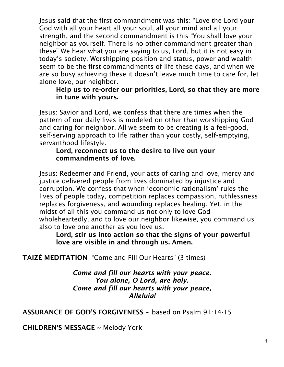Jesus said that the first commandment was this: "Love the Lord your God with all your heart all your soul, all your mind and all your strength, and the second commandment is this "You shall love your neighbor as yourself. There is no other commandment greater than these" We hear what you are saying to us, Lord, but it is not easy in today's society. Worshipping position and status, power and wealth seem to be the first commandments of life these days, and when we are so busy achieving these it doesn't leave much time to care for, let alone love, our neighbor.

Help us to re-order our priorities, Lord, so that they are more in tune with yours.

Jesus: Savior and Lord, we confess that there are times when the pattern of our daily lives is modeled on other than worshipping God and caring for neighbor. All we seem to be creating is a feel-good, self-serving approach to life rather than your costly, self-emptying, servanthood lifestyle.

#### Lord, reconnect us to the desire to live out your commandments of love.

Jesus: Redeemer and Friend, your acts of caring and love, mercy and justice delivered people from lives dominated by injustice and corruption. We confess that when 'economic rationalism' rules the lives of people today, competition replaces compassion, ruthlessness replaces forgiveness, and wounding replaces healing. Yet, in the midst of all this you command us not only to love God wholeheartedly, and to love our neighbor likewise, you command us also to love one another as you love us.

Lord, stir us into action so that the signs of your powerful love are visible in and through us. Amen.

TAIZÉ MEDITATION "Come and Fill Our Hearts" (3 times)

*Come and fill our hearts with your peace. You alone, O Lord, are holy. Come and fill our hearts with your peace, Alleluia!*

ASSURANCE OF GOD'S FORGIVENESS ~ based on Psalm 91:14-15

CHILDREN'S MESSAGE ~ Melody York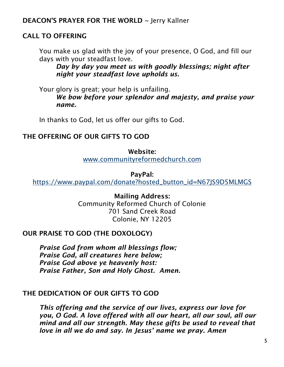## DEACON'S PRAYER FOR THE WORLD ~ Jerry Kallner

## CALL TO OFFERING

You make us glad with the joy of your presence, O God, and fill our days with your steadfast love.

*Day by day you meet us with goodly blessings; night after night your steadfast love upholds us.*

Your glory is great; your help is unfailing. *We bow before your splendor and majesty, and praise your name.*

In thanks to God, let us offer our gifts to God.

### THE OFFERING OF OUR GIFTS TO GOD

Website: [www.communityreformedchurch.com](http://www.communityreformedchurch.com/)

PayPal:

[https://www.paypal.com/donate?hosted\\_button\\_id=N67JS9D5MLMGS](https://www.paypal.com/donate?hosted_button_id=N67JS9D5MLMGS)

Mailing Address: Community Reformed Church of Colonie 701 Sand Creek Road Colonie, NY 12205

## OUR PRAISE TO GOD (THE DOXOLOGY)

*Praise God from whom all blessings flow; Praise God, all creatures here below; Praise God above ye heavenly host: Praise Father, Son and Holy Ghost. Amen.*

## THE DEDICATION OF OUR GIFTS TO GOD

*This offering and the service of our lives, express our love for you, O God. A love offered with all our heart, all our soul, all our mind and all our strength. May these gifts be used to reveal that love in all we do and say. In Jesus' name we pray. Amen*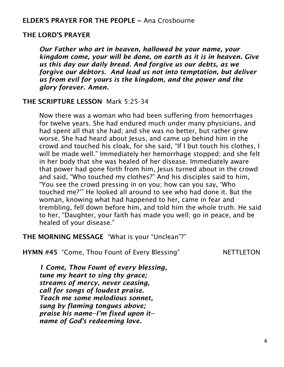### ELDER'S PRAYER FOR THE PEOPLE ~ Ana Crosbourne

#### THE LORD'S PRAYER

*Our Father who art in heaven, hallowed be your name, your kingdom come, your will be done, on earth as it is in heaven. Give us this day our daily bread. And forgive us our debts, as we forgive our debtors. And lead us not into temptation, but deliver us from evil for yours is the kingdom, and the power and the glory forever. Amen.*

#### THE SCRIPTURE LESSON Mark 5:25-34

Now there was a woman who had been suffering from hemorrhages for twelve years. She had endured much under many physicians, and had spent all that she had; and she was no better, but rather grew worse. She had heard about Jesus, and came up behind him in the crowd and touched his cloak, for she said, "If I but touch his clothes, I will be made well." Immediately her hemorrhage stopped; and she felt in her body that she was healed of her disease. Immediately aware that power had gone forth from him, Jesus turned about in the crowd and said, "Who touched my clothes?" And his disciples said to him, "You see the crowd pressing in on you; how can you say, 'Who touched me?'" He looked all around to see who had done it. But the woman, knowing what had happened to her, came in fear and trembling, fell down before him, and told him the whole truth. He said to her, "Daughter, your faith has made you well; go in peace, and be healed of your disease."

#### THE MORNING MESSAGE "What is your "Unclean"?"

HYMN #45 "Come, Thou Fount of Every Blessing" NETTLETON

*1 Come, Thou Fount of every blessing, tune my heart to sing thy grace; streams of mercy, never ceasing, call for songs of loudest praise. Teach me some melodious sonnet, sung by flaming tongues above; praise his name--I'm fixed upon it- name of God's redeeming love.*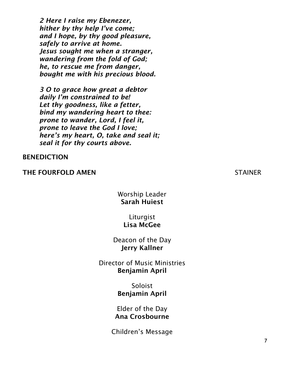*2 Here I raise my Ebenezer, hither by thy help I've come; and I hope, by thy good pleasure, safely to arrive at home. Jesus sought me when a stranger, wandering from the fold of God; he, to rescue me from danger, bought me with his precious blood.*

*3 O to grace how great a debtor daily I'm constrained to be! Let thy goodness, like a fetter, bind my wandering heart to thee: prone to wander, Lord, I feel it, prone to leave the God I love; here's my heart, O, take and seal it; seal it for thy courts above.*

#### BENEDICTION

#### THE FOURFOLD AMEN STAINER

### Worship Leader Sarah Huiest

Liturgist Lisa McGee

Deacon of the Day Jerry Kallner

Director of Music Ministries Benjamin April

> Soloist Benjamin April

Elder of the Day Ana Crosbourne

Children's Message